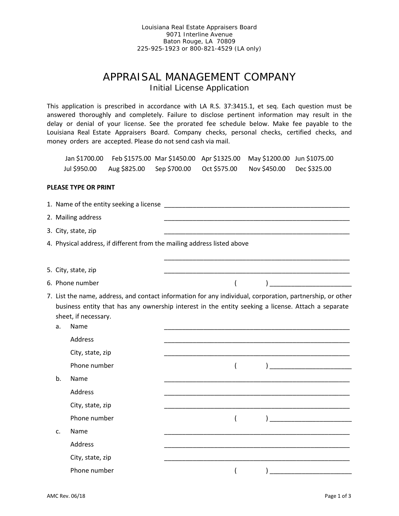Louisiana Real Estate Appraisers Board 9071 Interline Avenue Baton Rouge, LA 70809 225-925-1923 or 800-821-4529 (LA only)

## APPRAISAL MANAGEMENT COMPANY Initial License Application

This application is prescribed in accordance with LA R.S. 37:3415.1, et seq. Each question must be answered thoroughly and completely. Failure to disclose pertinent information may result in the delay or denial of your license. See the prorated fee schedule below. Make fee payable to the Louisiana Real Estate Appraisers Board. Company checks, personal checks, certified checks, and money orders are accepted. Please do not send cash via mail.

Jan \$1700.00 Feb \$1575.00 Mar \$1450.00 Apr \$1325.00 May \$1200.00 Jun \$1075.00 Jul \$950.00 Aug \$825.00 Sep \$700.00 Oct \$575.00 Nov \$450.00 Dec \$325.00

## **PLEASE TYPE OR PRINT**

|    | 2. Mailing address                                                                                                                 |                                                                                                                       |                                                                                                           |
|----|------------------------------------------------------------------------------------------------------------------------------------|-----------------------------------------------------------------------------------------------------------------------|-----------------------------------------------------------------------------------------------------------|
|    | 3. City, state, zip                                                                                                                |                                                                                                                       |                                                                                                           |
|    | 4. Physical address, if different from the mailing address listed above                                                            |                                                                                                                       |                                                                                                           |
|    |                                                                                                                                    |                                                                                                                       |                                                                                                           |
|    | 5. City, state, zip                                                                                                                | <u> 1980 - Johann John Stone, markin amerikan bisa di sebagai pertama dan bagi pertama dan bagi pertama dan bagi </u> |                                                                                                           |
|    | 6. Phone number                                                                                                                    |                                                                                                                       | <u> 1990 - Johann Barbara, martxa a</u>                                                                   |
| a. | business entity that has any ownership interest in the entity seeking a license. Attach a separate<br>sheet, if necessary.<br>Name |                                                                                                                       | 7. List the name, address, and contact information for any individual, corporation, partnership, or other |
|    | Address                                                                                                                            |                                                                                                                       |                                                                                                           |
|    | City, state, zip                                                                                                                   |                                                                                                                       |                                                                                                           |
|    | Phone number                                                                                                                       |                                                                                                                       |                                                                                                           |
| b. | Name                                                                                                                               |                                                                                                                       |                                                                                                           |
|    | Address                                                                                                                            |                                                                                                                       |                                                                                                           |
|    | City, state, zip                                                                                                                   |                                                                                                                       |                                                                                                           |
|    | Phone number                                                                                                                       |                                                                                                                       |                                                                                                           |
| C. | Name                                                                                                                               |                                                                                                                       |                                                                                                           |
|    | Address                                                                                                                            |                                                                                                                       |                                                                                                           |
|    | City, state, zip                                                                                                                   |                                                                                                                       |                                                                                                           |
|    | Phone number                                                                                                                       |                                                                                                                       |                                                                                                           |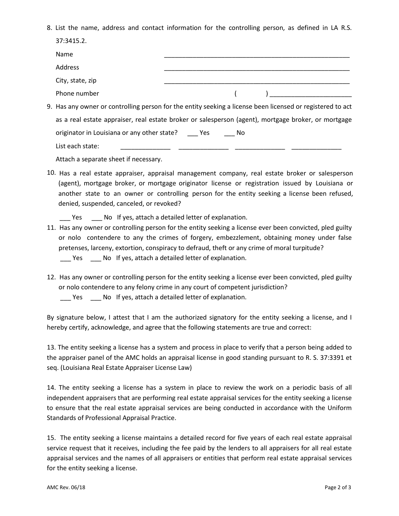8. List the name, address and contact information for the controlling person, as defined in LA R.S. 37:3415.2.

| Name                                                                                                       |  |       |  |  |
|------------------------------------------------------------------------------------------------------------|--|-------|--|--|
| Address                                                                                                    |  |       |  |  |
| City, state, zip                                                                                           |  |       |  |  |
| Phone number                                                                                               |  |       |  |  |
| 9. Has any owner or controlling person for the entity seeking a license been licensed or registered to act |  |       |  |  |
| as a real estate appraiser, real estate broker or salesperson (agent), mortgage broker, or mortgage        |  |       |  |  |
| originator in Louisiana or any other state? Yes                                                            |  | in No |  |  |
| List each state:                                                                                           |  |       |  |  |
| Attach a separate sheet if necessary.                                                                      |  |       |  |  |

- 10. Has a real estate appraiser, appraisal management company, real estate broker or salesperson (agent), mortgage broker, or mortgage originator license or registration issued by Louisiana or another state to an owner or controlling person for the entity seeking a license been refused, denied, suspended, canceled, or revoked?
	- Yes No If yes, attach a detailed letter of explanation.
- 11. Has any owner or controlling person for the entity seeking a license ever been convicted, pled guilty or nolo contendere to any the crimes of forgery, embezzlement, obtaining money under false pretenses, larceny, extortion, conspiracy to defraud, theft or any crime of moral turpitude? \_\_\_ Yes \_\_\_ No If yes, attach a detailed letter of explanation.
- 12. Has any owner or controlling person for the entity seeking a license ever been convicted, pled guilty or nolo contendere to any felony crime in any court of competent jurisdiction?
	- \_\_\_ Yes \_\_\_ No If yes, attach a detailed letter of explanation.

By signature below, I attest that I am the authorized signatory for the entity seeking a license, and I hereby certify, acknowledge, and agree that the following statements are true and correct:

13. The entity seeking a license has a system and process in place to verify that a person being added to the appraiser panel of the AMC holds an appraisal license in good standing pursuant to R. S. 37:3391 et seq. (Louisiana Real Estate Appraiser License Law)

14. The entity seeking a license has a system in place to review the work on a periodic basis of all independent appraisers that are performing real estate appraisal services for the entity seeking a license to ensure that the real estate appraisal services are being conducted in accordance with the Uniform Standards of Professional Appraisal Practice.

15. The entity seeking a license maintains a detailed record for five years of each real estate appraisal service request that it receives, including the fee paid by the lenders to all appraisers for all real estate appraisal services and the names of all appraisers or entities that perform real estate appraisal services for the entity seeking a license.